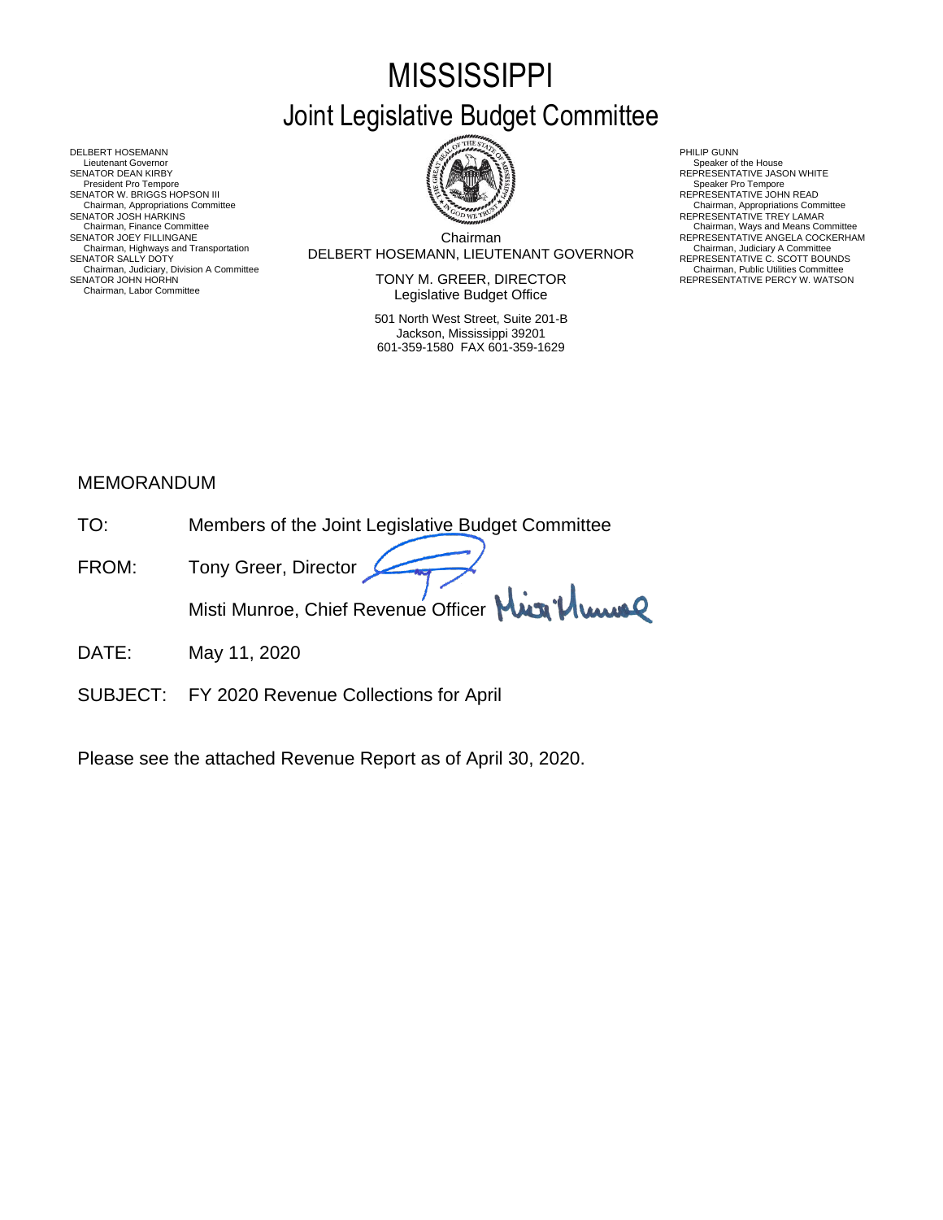# **MISSISSIPPI** Joint Legislative Budget Committee

Chairman DELBERT HOSEMANN, LIEUTENANT GOVERNOR Chairman, Highways and Transportation Chairman, Judiciary A Committee SENATOR SALLY DOTY REPRESENTATIVE C. SCOTT BOUNDS Chairman, Finance Committee Chairman, Ways and Means Committee Chairman, Ways and Means Committee Chairman Chairman Chairman Chairman Chairman Chairman Chairman Chairman Chairman Chairman Chairman Chairman Chairman Chairma

SENATOR JOHN HORHN NEWSTATIVE PERCY W. WATSON TONY M. GREER, DIRECTOR THE REPRESENTATIVE PERCY W. WATSON Legislative Budget Office

> 501 North West Street, Suite 201-B Jackson, Mississippi 39201 601-359-1580 FAX 601-359-1629

- Chairman, Appropriations Committee<br>REPRESENTATIVE TREY LAMAR
- 
- REPRESENTATIVE ANGELA COCKERHAM<br>Chairman, Judiciary A Committee<br>REPRESENTATIVE C. SCOTT BOUNDS<br>Chairman, Public Utilities Committee<br>REPRESENTATIVE PERCY W. WATSON

DELBERT HOSEMANN PHILIP GUNN<br>Lieutenant Governor (Philip Gunn) and the company of the company of the company of the company of the company<br>SENATOR DEAN KIRBY (PHILIP GUNN) AND REPRESENTA Lieutenant Governor Nine House<br>SENATOR DEAN KIRBY REPRESENTATIVE JASON WHITE<br>President Pro Tempore Speaker Pro Tempore SENATOR W. BRIGGS HOPSON III READ AND READ AND READ AND REPRESENTATIVE JOHN READ Chairman, Appropriations Committee<br>SENATOR JOSH HARKINS<br>Chairman, Finance Committee Chairman, Highways and Transportation<br>SENATOR SALLY DOTY<br>Chairman, Judiciary, Division A Committee<br>Chairman, Judiciary, Division A Committee<br>SENATOR JOHN HORHN Chairman, Labor Committee

### MEMORANDUM

| TO:   | Members of the Joint Legislative Budget Committee |
|-------|---------------------------------------------------|
| FROM: | Tony Greer, Director                              |
|       | Misti Munroe, Chief Revenue Officer Min Plume     |

- DATE: May 11, 2020
- SUBJECT: FY 2020 Revenue Collections for April

Please see the attached Revenue Report as of April 30, 2020.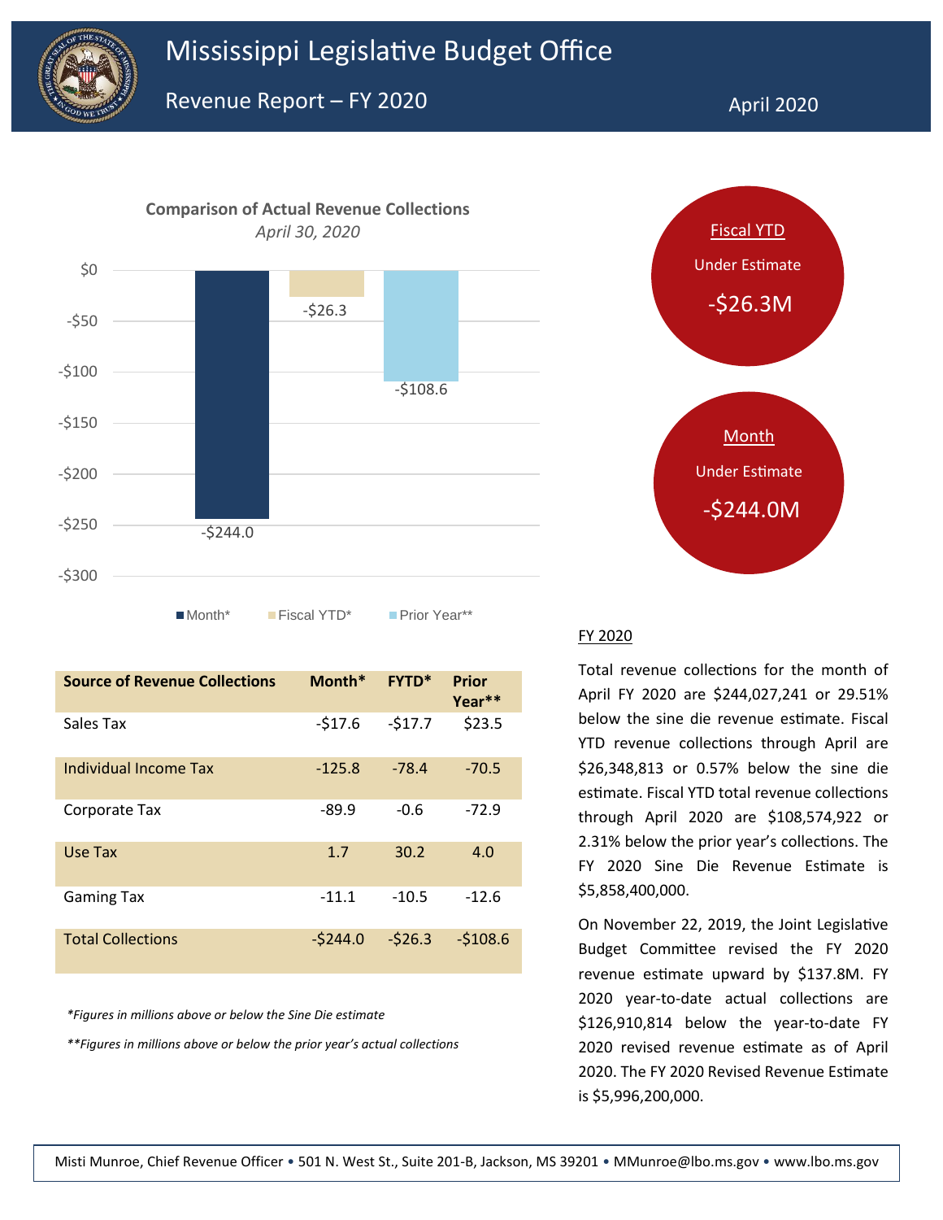



| <b>Source of Revenue Collections</b> | $Month*$  | <b>FYTD*</b> | <b>Prior</b><br>Year** |
|--------------------------------------|-----------|--------------|------------------------|
| Sales Tax                            | $-517.6$  | $-517.7$     | \$23.5                 |
| Individual Income Tax                | $-125.8$  | $-78.4$      | $-70.5$                |
| Corporate Tax                        | $-89.9$   | $-0.6$       | $-72.9$                |
| Use Tax                              | 1.7       | 30.2         | 4.0                    |
| <b>Gaming Tax</b>                    | $-11.1$   | $-10.5$      | $-12.6$                |
| <b>Total Collections</b>             | $-5244.0$ | $-526.3$     | $-5108.6$              |

*\*Figures in millions above or below the Sine Die estimate*

*\*\*Figures in millions above or below the prior year's actual collections*



#### FY 2020

Total revenue collections for the month of April FY 2020 are \$244,027,241 or 29.51% below the sine die revenue estimate. Fiscal YTD revenue collections through April are \$26,348,813 or 0.57% below the sine die estimate. Fiscal YTD total revenue collections through April 2020 are \$108,574,922 or 2.31% below the prior year's collections. The FY 2020 Sine Die Revenue Estimate is \$5,858,400,000.

On November 22, 2019, the Joint Legislative Budget Committee revised the FY 2020 revenue estimate upward by \$137.8M. FY 2020 year-to-date actual collections are \$126,910,814 below the year-to-date FY 2020 revised revenue estimate as of April 2020. The FY 2020 Revised Revenue Estimate is \$5,996,200,000.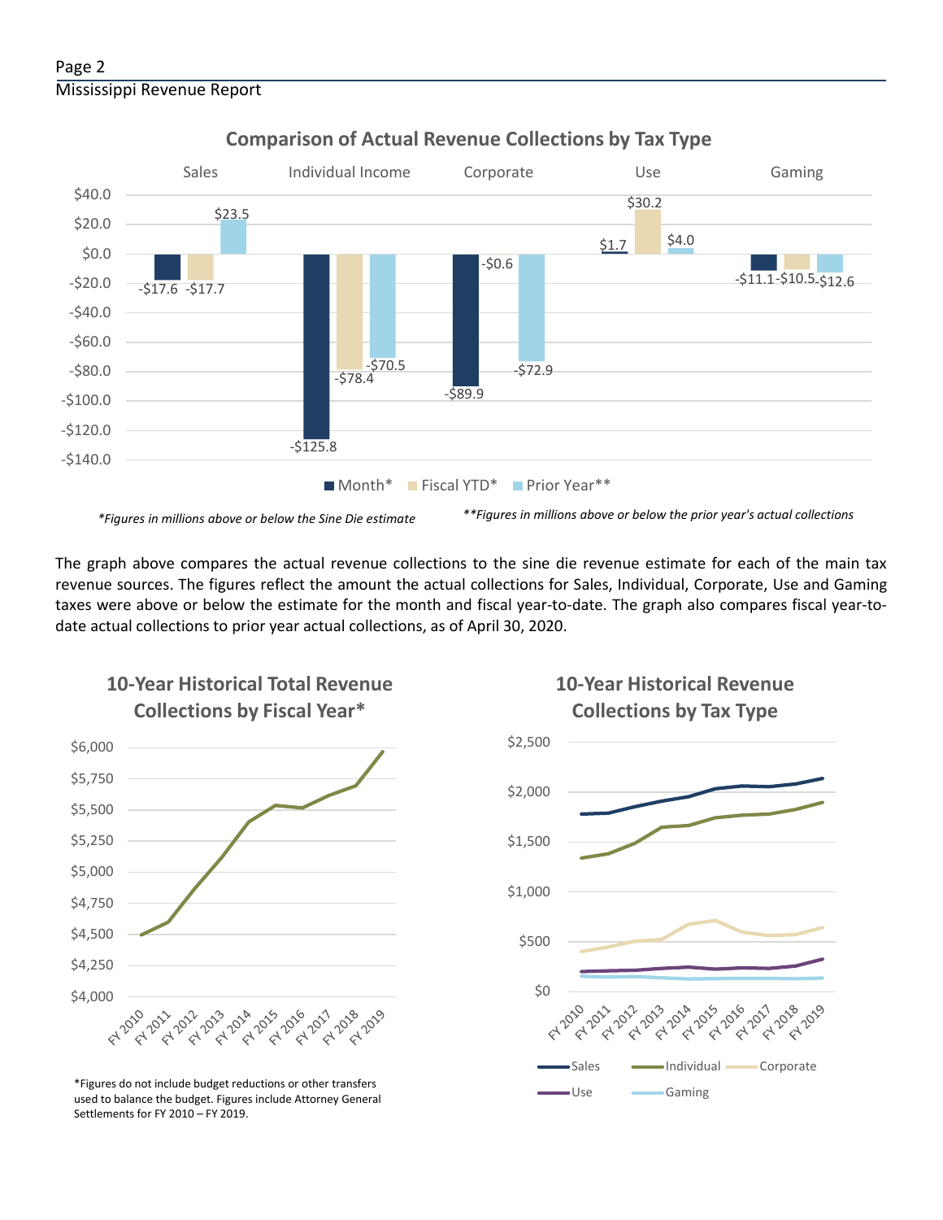

#### **Comparison of Actual Revenue Collections by Tax Type**

The graph above compares the actual revenue collections to the sine die revenue estimate for each of the main tax revenue sources. The figures reflect the amount the actual collections for Sales, Individual, Corporate, Use and Gaming taxes were above or below the estimate for the month and fiscal year-to-date. The graph also compares fiscal year-todate actual collections to prior year actual collections, as of April 30, 2020.



**10-Year Historical Total Revenue** 

Use Gaming \*Figures do not include budget reductions or other transfers used to balance the budget. Figures include Attorney General Settlements for FY 2010 – FY 2019.

## **10-Year Historical Revenue Collections by Tax Type**

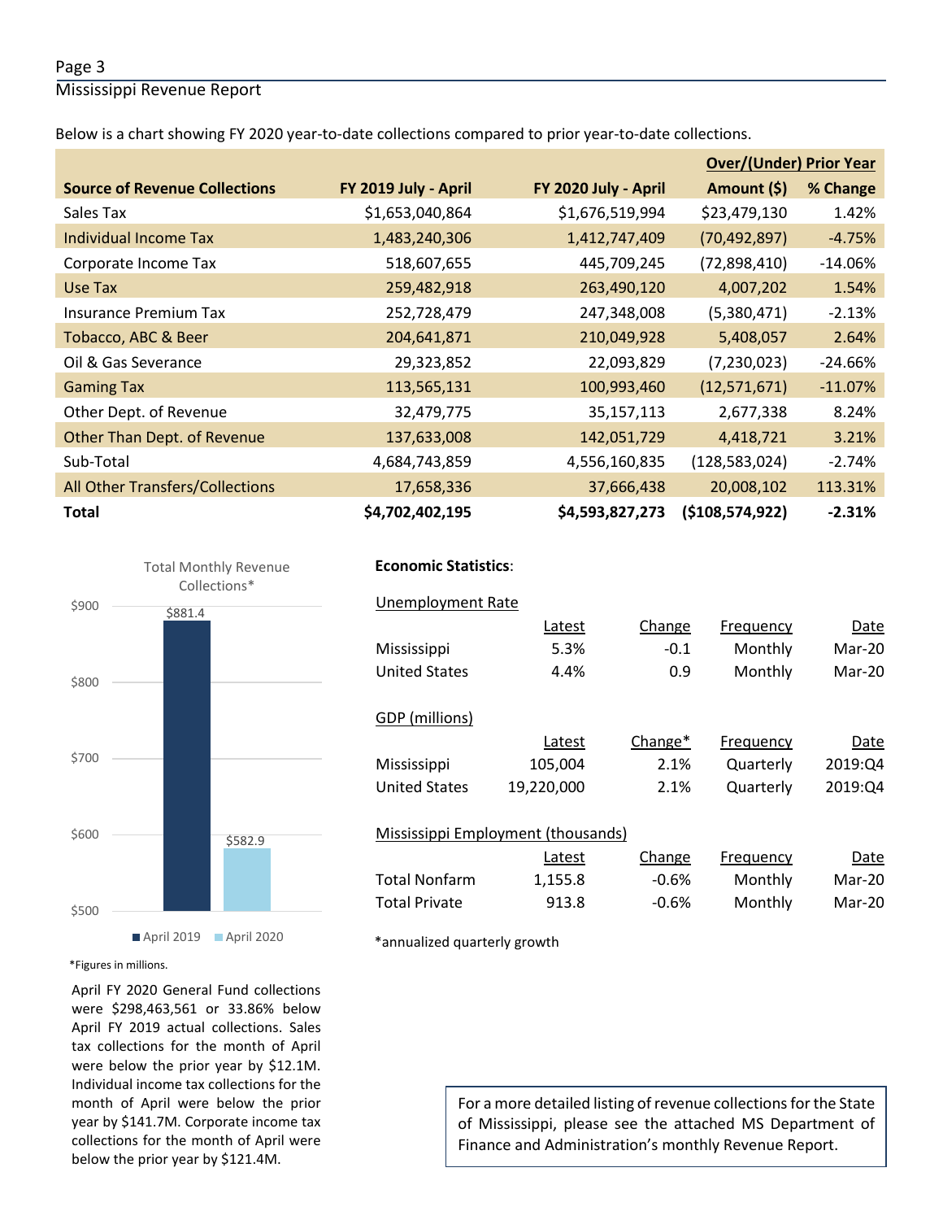#### Page 3

Mississippi Revenue Report

Below is a chart showing FY 2020 year-to-date collections compared to prior year-to-date collections.

|                                        |                      |                      | <b>Over/(Under) Prior Year</b> |           |
|----------------------------------------|----------------------|----------------------|--------------------------------|-----------|
| <b>Source of Revenue Collections</b>   | FY 2019 July - April | FY 2020 July - April | Amount (\$)                    | % Change  |
| Sales Tax                              | \$1,653,040,864      | \$1,676,519,994      | \$23,479,130                   | 1.42%     |
| Individual Income Tax                  | 1,483,240,306        | 1,412,747,409        | (70, 492, 897)                 | $-4.75%$  |
| Corporate Income Tax                   | 518,607,655          | 445,709,245          | (72,898,410)                   | $-14.06%$ |
| Use Tax                                | 259,482,918          | 263,490,120          | 4,007,202                      | 1.54%     |
| <b>Insurance Premium Tax</b>           | 252,728,479          | 247,348,008          | (5,380,471)                    | $-2.13%$  |
| Tobacco, ABC & Beer                    | 204,641,871          | 210,049,928          | 5,408,057                      | 2.64%     |
| Oil & Gas Severance                    | 29,323,852           | 22,093,829           | (7,230,023)                    | $-24.66%$ |
| <b>Gaming Tax</b>                      | 113,565,131          | 100,993,460          | (12,571,671)                   | $-11.07%$ |
| Other Dept. of Revenue                 | 32,479,775           | 35,157,113           | 2,677,338                      | 8.24%     |
| Other Than Dept. of Revenue            | 137,633,008          | 142,051,729          | 4,418,721                      | 3.21%     |
| Sub-Total                              | 4,684,743,859        | 4,556,160,835        | (128, 583, 024)                | $-2.74%$  |
| <b>All Other Transfers/Collections</b> | 17,658,336           | 37,666,438           | 20,008,102                     | 113.31%   |
| <b>Total</b>                           | \$4,702,402,195      | \$4,593,827,273      | ( \$108,574,922]               | $-2.31%$  |



#### **Economic Statistics**:  **Economic Statistics**:

| Unemployment Rate                  |            |         |           |         |
|------------------------------------|------------|---------|-----------|---------|
|                                    | Latest     | Change  | Frequency | Date    |
| Mississippi                        | 5.3%       | $-0.1$  | Monthly   | Mar-20  |
| <b>United States</b>               | 4.4%       | 0.9     | Monthly   | Mar-20  |
|                                    |            |         |           |         |
| GDP (millions)                     |            |         |           |         |
|                                    | Latest     | Change* | Frequency | Date    |
| Mississippi                        | 105,004    | 2.1%    | Quarterly | 2019:04 |
| <b>United States</b>               | 19,220,000 | 2.1%    | Quarterly | 2019:04 |
|                                    |            |         |           |         |
| Mississippi Employment (thousands) |            |         |           |         |
|                                    | Latest     | Change  | Frequency | Date    |
| Total Nonfarm                      | 1,155.8    | $-0.6%$ | Monthly   | Mar-20  |
| <b>Total Private</b>               | 913.8      | $-0.6%$ | Monthly   | Mar-20  |
|                                    |            |         |           |         |

\*annualized quarterly growth

\*Figures in millions.

April FY 2020 General Fund collections were \$298,463,561 or 33.86% below April FY 2019 actual collections. Sales tax collections for the month of April were below the prior year by \$12.1M. Individual income tax collections for the month of April were below the prior year by \$141.7M. Corporate income tax collections for the month of April were below the prior year by \$121.4M.

For a more detailed listing of revenue collections for the State of Mississippi, please see the attached MS Department of Finance and Administration's monthly Revenue Report.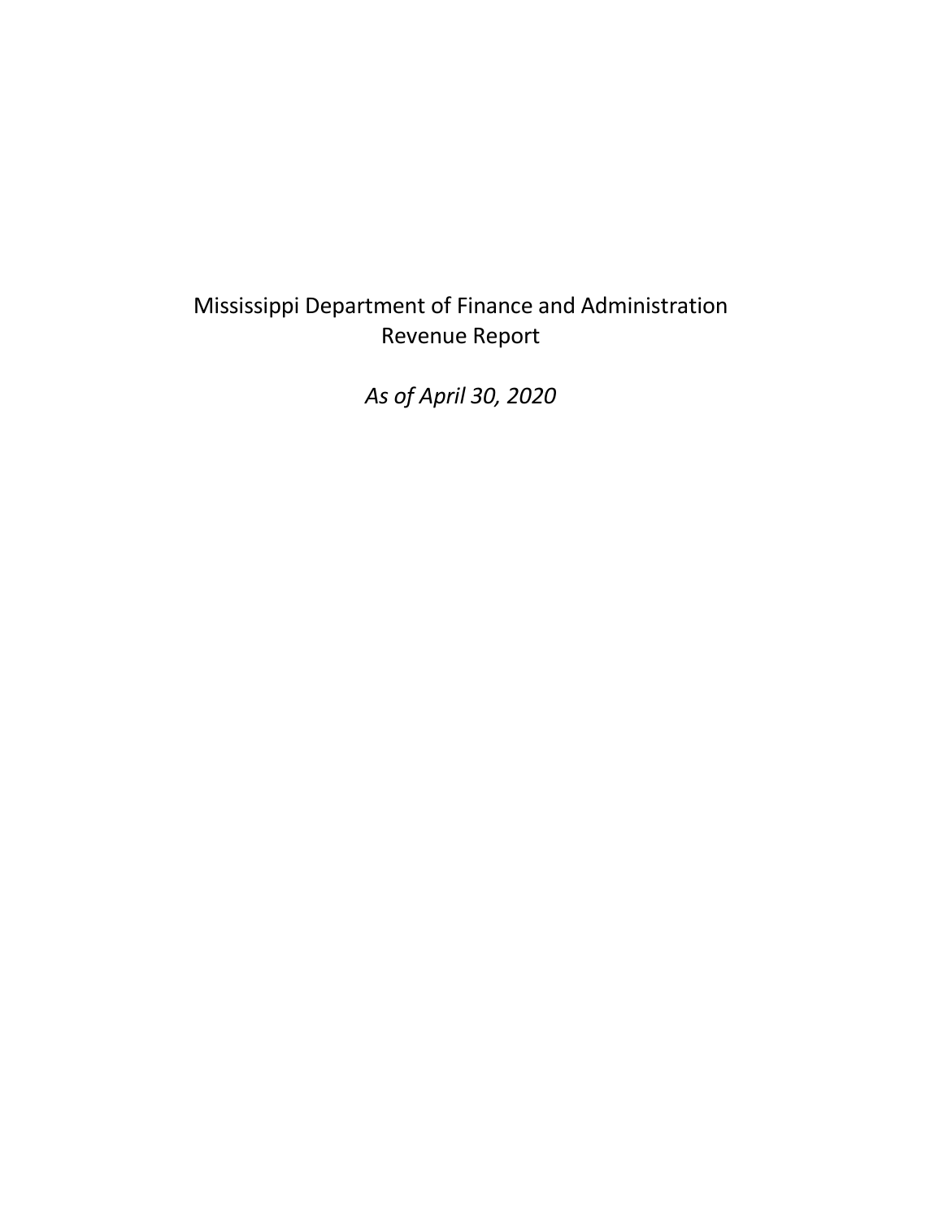# Mississippi Department of Finance and Administration Revenue Report

*As of April 30, 2020*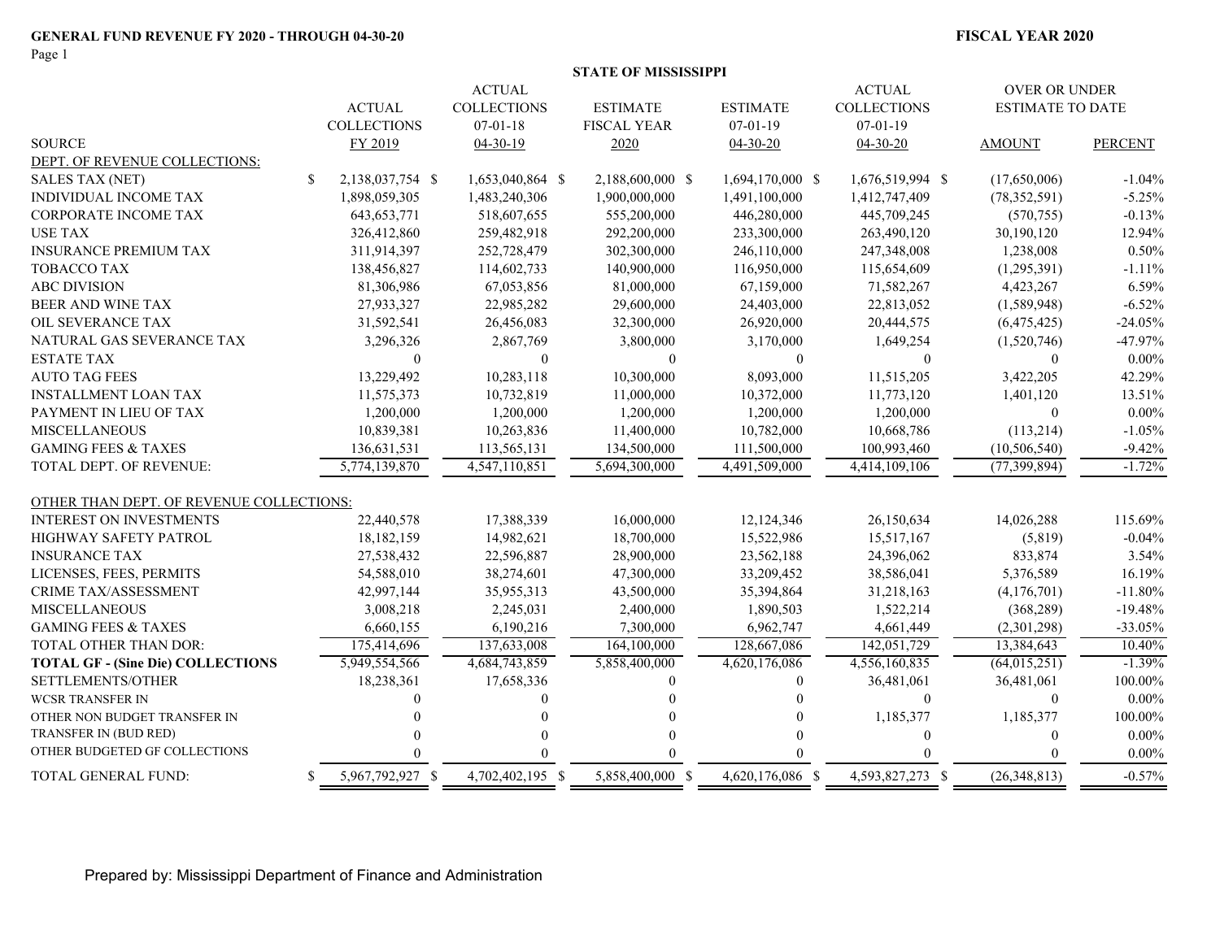Page 1

|                                          |    |                    |                    | <b>STATE OF MISSISSIPPI</b> |                  |                    |                           |                |
|------------------------------------------|----|--------------------|--------------------|-----------------------------|------------------|--------------------|---------------------------|----------------|
|                                          |    |                    | <b>ACTUAL</b>      |                             |                  | <b>ACTUAL</b>      | <b>OVER OR UNDER</b>      |                |
|                                          |    | <b>ACTUAL</b>      | <b>COLLECTIONS</b> | <b>ESTIMATE</b>             | <b>ESTIMATE</b>  | <b>COLLECTIONS</b> | <b>ESTIMATE TO DATE</b>   |                |
|                                          |    | <b>COLLECTIONS</b> | $07-01-18$         | <b>FISCAL YEAR</b>          | $07-01-19$       | $07-01-19$         |                           |                |
| <b>SOURCE</b>                            |    | FY 2019            | $04-30-19$         | 2020                        | $04 - 30 - 20$   | $04 - 30 - 20$     | <b>AMOUNT</b>             | <b>PERCENT</b> |
| DEPT. OF REVENUE COLLECTIONS:            |    |                    |                    |                             |                  |                    |                           |                |
| <b>SALES TAX (NET)</b>                   | \$ | 2,138,037,754 \$   | 1,653,040,864 \$   | 2,188,600,000 \$            | 1,694,170,000 \$ | 1,676,519,994 \$   | (17,650,006)              | $-1.04%$       |
| INDIVIDUAL INCOME TAX                    |    | 1,898,059,305      | 1,483,240,306      | 1,900,000,000               | 1,491,100,000    | 1,412,747,409      | (78, 352, 591)            | $-5.25%$       |
| CORPORATE INCOME TAX                     |    | 643, 653, 771      | 518,607,655        | 555,200,000                 | 446,280,000      | 445,709,245        | (570, 755)                | $-0.13%$       |
| <b>USE TAX</b>                           |    | 326,412,860        | 259,482,918        | 292,200,000                 | 233,300,000      | 263,490,120        | 30,190,120                | 12.94%         |
| <b>INSURANCE PREMIUM TAX</b>             |    | 311,914,397        | 252,728,479        | 302,300,000                 | 246,110,000      | 247,348,008        | 1,238,008                 | 0.50%          |
| <b>TOBACCO TAX</b>                       |    | 138,456,827        | 114,602,733        | 140,900,000                 | 116,950,000      | 115,654,609        | (1,295,391)               | $-1.11%$       |
| <b>ABC DIVISION</b>                      |    | 81,306,986         | 67,053,856         | 81,000,000                  | 67,159,000       | 71,582,267         | 4,423,267                 | 6.59%          |
| BEER AND WINE TAX                        |    | 27,933,327         | 22,985,282         | 29,600,000                  | 24,403,000       | 22,813,052         | (1,589,948)               | $-6.52%$       |
| OIL SEVERANCE TAX                        |    | 31,592,541         | 26,456,083         | 32,300,000                  | 26,920,000       | 20,444,575         | (6,475,425)               | $-24.05%$      |
| NATURAL GAS SEVERANCE TAX                |    | 3,296,326          | 2,867,769          | 3,800,000                   | 3,170,000        | 1,649,254          | (1,520,746)               | $-47.97%$      |
| <b>ESTATE TAX</b>                        |    | $\theta$           | $\theta$           | $\overline{0}$              | $\Omega$         | $\overline{0}$     | $\theta$                  | $0.00\%$       |
| <b>AUTO TAG FEES</b>                     |    | 13,229,492         | 10,283,118         | 10,300,000                  | 8,093,000        | 11,515,205         | 3,422,205                 | 42.29%         |
| <b>INSTALLMENT LOAN TAX</b>              |    | 11,575,373         | 10,732,819         | 11,000,000                  | 10,372,000       | 11,773,120         | 1,401,120                 | 13.51%         |
| PAYMENT IN LIEU OF TAX                   |    | 1,200,000          | 1,200,000          | 1,200,000                   | 1,200,000        | 1,200,000          | $\boldsymbol{0}$          | $0.00\%$       |
| <b>MISCELLANEOUS</b>                     |    | 10,839,381         | 10,263,836         | 11,400,000                  | 10,782,000       | 10,668,786         | (113,214)                 | $-1.05%$       |
| <b>GAMING FEES &amp; TAXES</b>           |    | 136,631,531        | 113,565,131        | 134,500,000                 | 111,500,000      | 100,993,460        | (10, 506, 540)            | $-9.42%$       |
| TOTAL DEPT. OF REVENUE:                  |    | 5,774,139,870      | 4,547,110,851      | 5,694,300,000               | 4,491,509,000    | 4,414,109,106      | (77, 399, 894)            | $-1.72%$       |
| OTHER THAN DEPT. OF REVENUE COLLECTIONS: |    |                    |                    |                             |                  |                    |                           |                |
| <b>INTEREST ON INVESTMENTS</b>           |    | 22,440,578         | 17,388,339         | 16,000,000                  | 12,124,346       | 26,150,634         | 14,026,288                | 115.69%        |
| HIGHWAY SAFETY PATROL                    |    | 18,182,159         | 14,982,621         | 18,700,000                  | 15,522,986       | 15,517,167         | (5,819)                   | $-0.04%$       |
| <b>INSURANCE TAX</b>                     |    | 27,538,432         | 22,596,887         | 28,900,000                  | 23,562,188       | 24,396,062         | 833,874                   | 3.54%          |
| LICENSES, FEES, PERMITS                  |    | 54,588,010         | 38,274,601         | 47,300,000                  | 33,209,452       | 38,586,041         | 5,376,589                 | 16.19%         |
| <b>CRIME TAX/ASSESSMENT</b>              |    | 42,997,144         | 35,955,313         | 43,500,000                  | 35,394,864       | 31,218,163         | (4,176,701)               | $-11.80%$      |
| <b>MISCELLANEOUS</b>                     |    | 3,008,218          | 2,245,031          | 2,400,000                   | 1,890,503        | 1,522,214          | (368, 289)                | $-19.48%$      |
| <b>GAMING FEES &amp; TAXES</b>           |    | 6,660,155          | 6,190,216          | 7,300,000                   | 6,962,747        | 4,661,449          | (2,301,298)               | $-33.05%$      |
| TOTAL OTHER THAN DOR:                    |    | 175,414,696        | 137,633,008        | 164,100,000                 | 128,667,086      | 142,051,729        | 13,384,643                | 10.40%         |
| <b>TOTAL GF - (Sine Die) COLLECTIONS</b> |    | 5,949,554,566      | 4,684,743,859      | 5,858,400,000               | 4,620,176,086    | 4,556,160,835      | $\overline{(64,015,251)}$ | $-1.39%$       |
| SETTLEMENTS/OTHER                        |    | 18,238,361         | 17,658,336         | $\theta$                    | $\mathbf{0}$     | 36,481,061         | 36,481,061                | 100.00%        |
| <b>WCSR TRANSFER IN</b>                  |    | $\Omega$           | $\Omega$           |                             |                  | $\boldsymbol{0}$   | $\mathbf{0}$              | $0.00\%$       |
| OTHER NON BUDGET TRANSFER IN             |    |                    |                    |                             |                  | 1,185,377          | 1,185,377                 | 100.00%        |
| TRANSFER IN (BUD RED)                    |    |                    | $\theta$           |                             |                  | $\theta$           | $\boldsymbol{0}$          | $0.00\%$       |
| OTHER BUDGETED GF COLLECTIONS            |    |                    |                    |                             |                  | $\Omega$           |                           | $0.00\%$       |
| TOTAL GENERAL FUND:                      | S. | 5,967,792,927 \$   | 4.702.402.195 \$   | 5,858,400,000 \$            | 4,620,176,086 \$ | 4.593.827.273 \$   | (26,348,813)              | $-0.57%$       |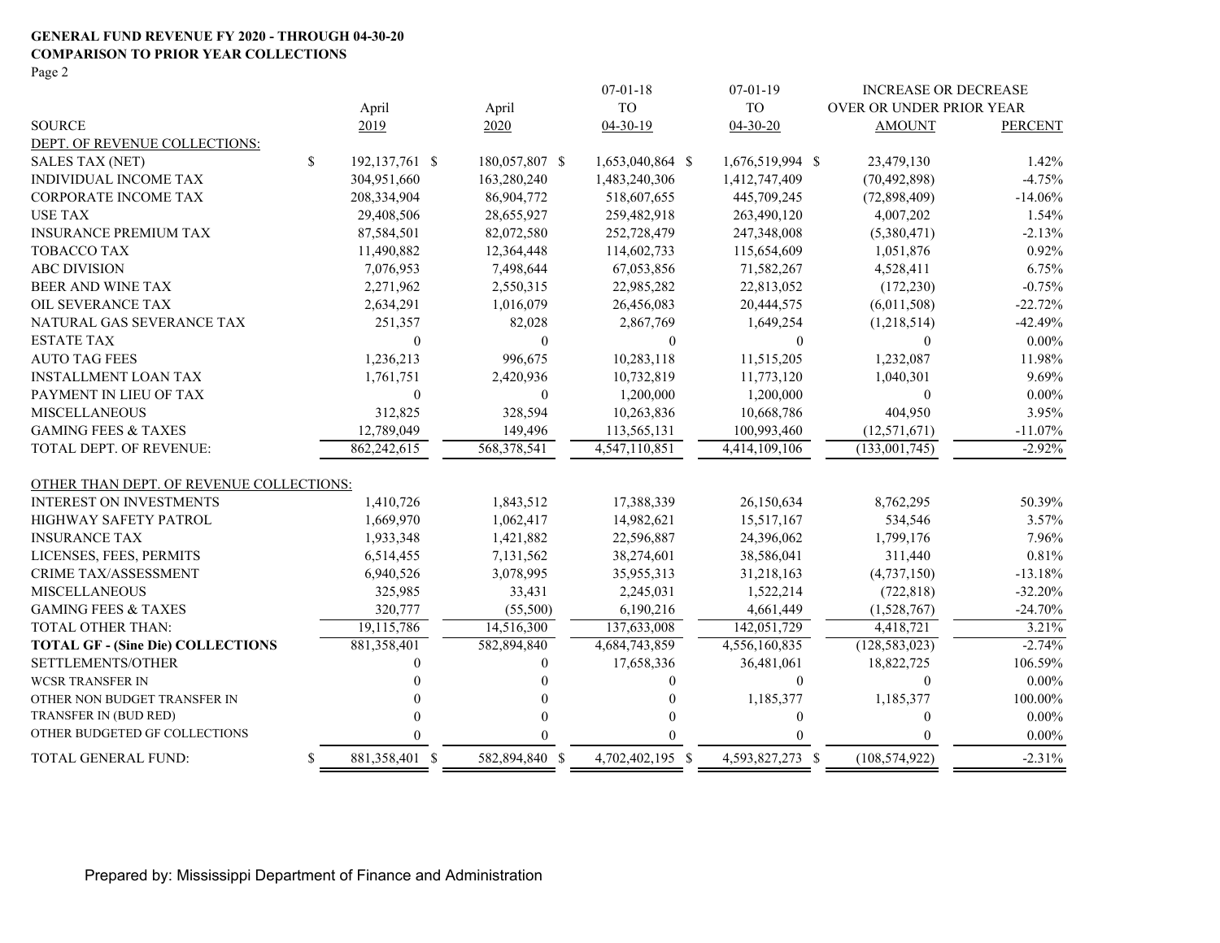#### **GENERAL FUND REVENUE FY 2020 - THROUGH 04-30-20 COMPARISON TO PRIOR YEAR COLLECTIONS**

Page 2

|                                          |    |                  |                | $07 - 01 - 18$   | $07 - 01 - 19$   | <b>INCREASE OR DECREASE</b> |                |
|------------------------------------------|----|------------------|----------------|------------------|------------------|-----------------------------|----------------|
|                                          |    | April            | April          | <b>TO</b>        | <b>TO</b>        | OVER OR UNDER PRIOR YEAR    |                |
| <b>SOURCE</b>                            |    | 2019             | 2020           | $04-30-19$       | $04 - 30 - 20$   | <b>AMOUNT</b>               | <b>PERCENT</b> |
| DEPT. OF REVENUE COLLECTIONS:            |    |                  |                |                  |                  |                             |                |
| <b>SALES TAX (NET)</b>                   | \$ | 192, 137, 761 \$ | 180,057,807 \$ | 1,653,040,864 \$ | 1,676,519,994 \$ | 23,479,130                  | 1.42%          |
| <b>INDIVIDUAL INCOME TAX</b>             |    | 304,951,660      | 163,280,240    | 1,483,240,306    | 1,412,747,409    | (70, 492, 898)              | $-4.75%$       |
| <b>CORPORATE INCOME TAX</b>              |    | 208,334,904      | 86,904,772     | 518,607,655      | 445,709,245      | (72,898,409)                | $-14.06%$      |
| <b>USE TAX</b>                           |    | 29,408,506       | 28,655,927     | 259,482,918      | 263,490,120      | 4,007,202                   | 1.54%          |
| <b>INSURANCE PREMIUM TAX</b>             |    | 87,584,501       | 82,072,580     | 252,728,479      | 247,348,008      | (5,380,471)                 | $-2.13%$       |
| TOBACCO TAX                              |    | 11,490,882       | 12,364,448     | 114,602,733      | 115,654,609      | 1,051,876                   | 0.92%          |
| <b>ABC DIVISION</b>                      |    | 7,076,953        | 7,498,644      | 67,053,856       | 71,582,267       | 4,528,411                   | 6.75%          |
| <b>BEER AND WINE TAX</b>                 |    | 2,271,962        | 2,550,315      | 22,985,282       | 22,813,052       | (172, 230)                  | $-0.75%$       |
| OIL SEVERANCE TAX                        |    | 2,634,291        | 1,016,079      | 26,456,083       | 20,444,575       | (6,011,508)                 | $-22.72%$      |
| NATURAL GAS SEVERANCE TAX                |    | 251,357          | 82,028         | 2,867,769        | 1,649,254        | (1,218,514)                 | $-42.49%$      |
| <b>ESTATE TAX</b>                        |    | $\mathbf{0}$     | $\mathbf{0}$   | $\mathbf{0}$     | $\mathbf{0}$     | $\mathbf{0}$                | $0.00\%$       |
| <b>AUTO TAG FEES</b>                     |    | 1,236,213        | 996,675        | 10,283,118       | 11,515,205       | 1,232,087                   | 11.98%         |
| <b>INSTALLMENT LOAN TAX</b>              |    | 1,761,751        | 2,420,936      | 10,732,819       | 11,773,120       | 1,040,301                   | 9.69%          |
| PAYMENT IN LIEU OF TAX                   |    | $\Omega$         | $\mathbf{0}$   | 1,200,000        | 1,200,000        | $\mathbf{0}$                | $0.00\%$       |
| <b>MISCELLANEOUS</b>                     |    | 312,825          | 328,594        | 10,263,836       | 10,668,786       | 404,950                     | 3.95%          |
| <b>GAMING FEES &amp; TAXES</b>           |    | 12,789,049       | 149,496        | 113,565,131      | 100,993,460      | (12, 571, 671)              | $-11.07%$      |
| TOTAL DEPT. OF REVENUE:                  |    | 862,242,615      | 568,378,541    | 4,547,110,851    | 4,414,109,106    | (133,001,745)               | $-2.92%$       |
| OTHER THAN DEPT. OF REVENUE COLLECTIONS: |    |                  |                |                  |                  |                             |                |
| <b>INTEREST ON INVESTMENTS</b>           |    | 1,410,726        | 1,843,512      | 17,388,339       | 26,150,634       | 8,762,295                   | 50.39%         |
| <b>HIGHWAY SAFETY PATROL</b>             |    | 1,669,970        | 1,062,417      | 14,982,621       | 15,517,167       | 534,546                     | 3.57%          |
| <b>INSURANCE TAX</b>                     |    | 1,933,348        | 1,421,882      | 22,596,887       | 24,396,062       | 1,799,176                   | 7.96%          |
| LICENSES, FEES, PERMITS                  |    | 6,514,455        | 7,131,562      | 38,274,601       | 38,586,041       | 311,440                     | 0.81%          |
| <b>CRIME TAX/ASSESSMENT</b>              |    | 6,940,526        | 3,078,995      | 35,955,313       | 31,218,163       | (4,737,150)                 | $-13.18%$      |
| <b>MISCELLANEOUS</b>                     |    | 325,985          | 33,431         | 2,245,031        | 1,522,214        | (722, 818)                  | $-32.20%$      |
| <b>GAMING FEES &amp; TAXES</b>           |    | 320,777          | (55,500)       | 6,190,216        | 4,661,449        | (1,528,767)                 | $-24.70%$      |
| TOTAL OTHER THAN:                        |    | 19,115,786       | 14,516,300     | 137,633,008      | 142,051,729      | 4,418,721                   | 3.21%          |
| <b>TOTAL GF - (Sine Die) COLLECTIONS</b> |    | 881,358,401      | 582,894,840    | 4,684,743,859    | 4,556,160,835    | (128, 583, 023)             | $-2.74%$       |
| SETTLEMENTS/OTHER                        |    |                  | $\Omega$       | 17,658,336       | 36,481,061       | 18,822,725                  | 106.59%        |
| <b>WCSR TRANSFER IN</b>                  |    |                  |                | 0                | $\theta$         | $\Omega$                    | $0.00\%$       |
| OTHER NON BUDGET TRANSFER IN             |    |                  |                |                  | 1,185,377        | 1,185,377                   | 100.00%        |
| TRANSFER IN (BUD RED)                    |    |                  |                |                  | $\theta$         | $\Omega$                    | $0.00\%$       |
| OTHER BUDGETED GF COLLECTIONS            |    |                  | $\Omega$       |                  |                  | $\Omega$                    | $0.00\%$       |
| TOTAL GENERAL FUND:                      | S  | 881,358,401 \$   | 582,894,840 \$ | 4,702,402,195 \$ | 4,593,827,273 \$ | (108, 574, 922)             | $-2.31%$       |